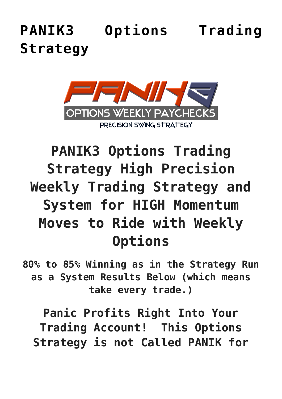# **[PANIK3 Options Trading](https://optionsweeklypaychecks.com/panik3-options-trading-strategy/) [Strategy](https://optionsweeklypaychecks.com/panik3-options-trading-strategy/)**



# **PANIK3 Options Trading Strategy High Precision Weekly Trading Strategy and System for HIGH Momentum Moves to Ride with Weekly Options**

**80% to 85% Winning as in the Strategy Run as a System Results Below (which means take every trade.)**

**Panic Profits Right Into Your Trading Account! This Options Strategy is not Called PANIK for**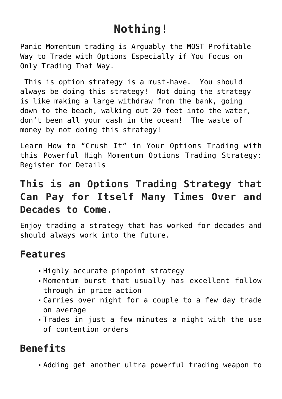# **Nothing!**

Panic Momentum trading is Arguably the MOST Profitable Way to Trade with Options Especially if You Focus on Only Trading That Way.

 This is option strategy is a must-have. You should always be doing this strategy! Not doing the strategy is like making a large withdraw from the bank, going down to the beach, walking out 20 feet into the water, don't been all your cash in the ocean! The waste of money by not doing this strategy!

Learn How to "Crush It" in Your Options Trading with this Powerful High Momentum Options Trading Strategy: Register for Details

### **This is an Options Trading Strategy that Can Pay for Itself Many Times Over and Decades to Come.**

Enjoy trading a strategy that has worked for decades and should always work into the future.

#### **Features**

- Highly accurate pinpoint strategy
- Momentum burst that usually has excellent follow through in price action
- Carries over night for a couple to a few day trade on average
- Trades in just a few minutes a night with the use of contention orders

## **Benefits**

Adding get another ultra powerful trading weapon to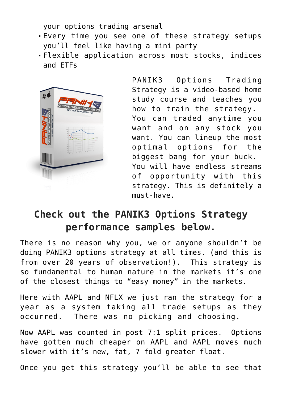your options trading arsenal

- Every time you see one of these strategy setups you'll feel like having a mini party
- Flexible application across most stocks, indices and ETFs



PANIK3 Options Trading Strategy is a video-based home study course and teaches you how to train the strategy. You can traded anytime you want and on any stock you want. You can lineup the most optimal options for the biggest bang for your buck. You will have endless streams of opportunity with this strategy. This is definitely a must-have.

### **Check out the PANIK3 Options Strategy performance samples below.**

There is no reason why you, we or anyone shouldn't be doing PANIK3 options strategy at all times. (and this is from over 20 years of observation!). This strategy is so fundamental to human nature in the markets it's one of the closest things to "easy money" in the markets.

Here with AAPL and NFLX we just ran the strategy for a year as a system taking all trade setups as they occurred. There was no picking and choosing.

Now AAPL was counted in post 7:1 split prices. Options have gotten much cheaper on AAPL and AAPL moves much slower with it's new, fat, 7 fold greater float.

Once you get this strategy you'll be able to see that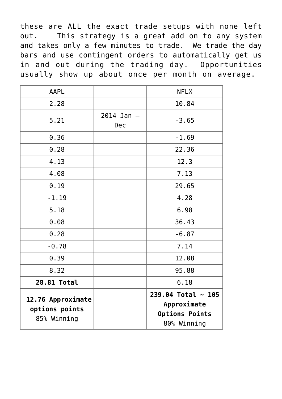these are ALL the exact trade setups with none left out. This strategy is a great add on to any system and takes only a few minutes to trade. We trade the day bars and use contingent orders to automatically get us in and out during the trading day. Opportunities usually show up about once per month on average.

|                       | 6.18<br>$239.04$ Total ~ 105 |
|-----------------------|------------------------------|
|                       | 95.88                        |
|                       | 12.08                        |
|                       | 7.14                         |
|                       | $-6.87$                      |
|                       | 36.43                        |
|                       | 6.98                         |
|                       | 4.28                         |
|                       | 29.65                        |
|                       | 7.13                         |
|                       | 12.3                         |
|                       | 22.36                        |
|                       | $-1.69$                      |
| $2014$ Jan $-$<br>Dec | $-3.65$                      |
|                       | 10.84                        |
|                       | <b>NFLX</b>                  |
|                       |                              |